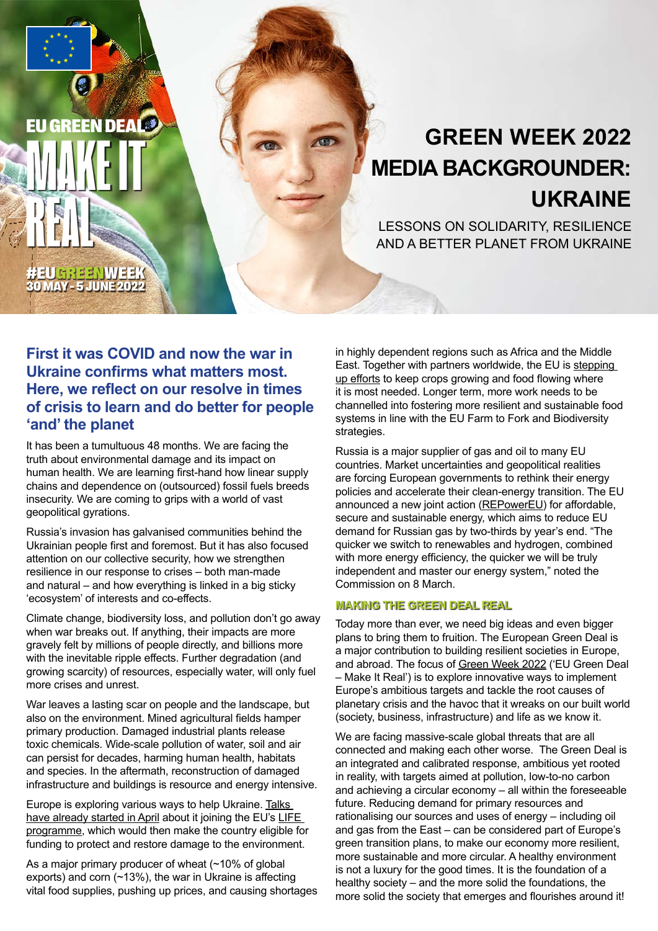

LESSONS ON SOLIDARITY, RESILIENCE AND A BETTER PLANET FROM UKRAINE

#EUGREENWEEK 30 MAY - 5 JUNE 2022

EU GREEN DEALE

**MAKE IT** 

REAL

# **First it was COVID and now the war in Ukraine confirms what matters most. Here, we reflect on our resolve in times of crisis to learn and do better for people 'and' the planet**

It has been a tumultuous 48 months. We are facing the truth about environmental damage and its impact on human health. We are learning first-hand how linear supply chains and dependence on (outsourced) fossil fuels breeds insecurity. We are coming to grips with a world of vast geopolitical gyrations.

Russia's invasion has galvanised communities behind the Ukrainian people first and foremost. But it has also focused attention on our collective security, how we strengthen resilience in our response to crises – both man-made and natural – and how everything is linked in a big sticky 'ecosystem' of interests and co-effects.

Climate change, biodiversity loss, and pollution don't go away when war breaks out. If anything, their impacts are more gravely felt by millions of people directly, and billions more with the inevitable ripple effects. Further degradation (and growing scarcity) of resources, especially water, will only fuel more crises and unrest.

War leaves a lasting scar on people and the landscape, but also on the environment. Mined agricultural fields hamper primary production. Damaged industrial plants release toxic chemicals. Wide-scale pollution of water, soil and air can persist for decades, harming human health, habitats and species. In the aftermath, reconstruction of damaged infrastructure and buildings is resource and energy intensive.

Europe is exploring various ways to help Ukraine. Talks [have already started in April](https://ec.europa.eu/environment/news/commission-open-negotiations-ukraines-participation-life-programme-climate-and-environment-2022-04-01_en) about it joining the EU's [LIFE](https://cinea.ec.europa.eu/life_en)  [programme](https://cinea.ec.europa.eu/life_en), which would then make the country eligible for funding to protect and restore damage to the environment.

As a major primary producer of wheat (~10% of global exports) and corn (~13%), the war in Ukraine is affecting vital food supplies, pushing up prices, and causing shortages in highly dependent regions such as Africa and the Middle East. Together with partners worldwide, the EU is [stepping](https://ec.europa.eu/commission/presscorner/detail/en/ip_22_1963)  [up efforts](https://ec.europa.eu/commission/presscorner/detail/en/ip_22_1963) to keep crops growing and food flowing where it is most needed. Longer term, more work needs to be channelled into fostering more resilient and sustainable food systems in line with the EU Farm to Fork and Biodiversity strategies.

Russia is a major supplier of gas and oil to many EU countries. Market uncertainties and geopolitical realities are forcing European governments to rethink their energy policies and accelerate their clean-energy transition. The EU announced a new joint action [\(REPowerEU\)](https://ec.europa.eu/commission/presscorner/detail/en/ip_22_1511) for affordable, secure and sustainable energy, which aims to reduce EU demand for Russian gas by two-thirds by year's end. "The quicker we switch to renewables and hydrogen, combined with more energy efficiency, the quicker we will be truly independent and master our energy system," noted the Commission on 8 March.

## **MAKING THE GREEN DEAL REAL**

Today more than ever, we need big ideas and even bigger plans to bring them to fruition. The European Green Deal is a major contribution to building resilient societies in Europe, and abroad. The focus of [Green Week 2022](https://ec.europa.eu/environment/eu-green-week-2022_en) ('EU Green Deal – Make It Real') is to explore innovative ways to implement Europe's ambitious targets and tackle the root causes of planetary crisis and the havoc that it wreaks on our built world (society, business, infrastructure) and life as we know it.

We are facing massive-scale global threats that are all connected and making each other worse. The Green Deal is an integrated and calibrated response, ambitious yet rooted in reality, with targets aimed at pollution, low-to-no carbon and achieving a circular economy – all within the foreseeable future. Reducing demand for primary resources and rationalising our sources and uses of energy – including oil and gas from the East – can be considered part of Europe's green transition plans, to make our economy more resilient, more sustainable and more circular. A healthy environment is not a luxury for the good times. It is the foundation of a healthy society – and the more solid the foundations, the more solid the society that emerges and flourishes around it!